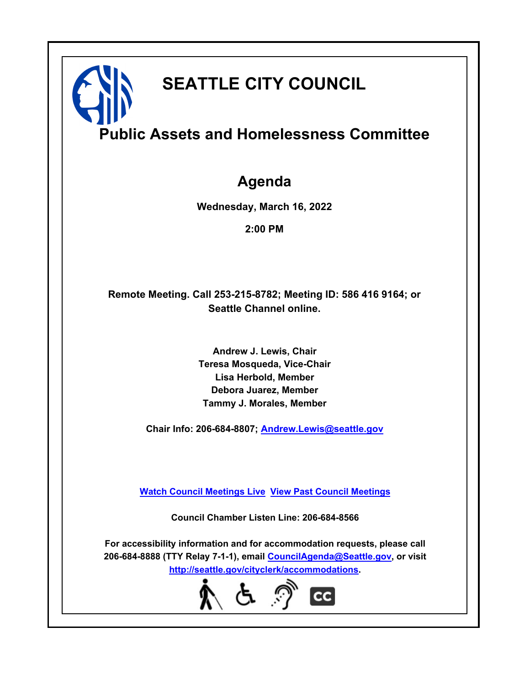# **SEATTLE CITY COUNCIL**

# **Public Assets and Homelessness Committee**

## **Agenda**

**Wednesday, March 16, 2022**

**2:00 PM**

## **Remote Meeting. Call 253-215-8782; Meeting ID: 586 416 9164; or Seattle Channel online.**

**Andrew J. Lewis, Chair Teresa Mosqueda, Vice-Chair Lisa Herbold, Member Debora Juarez, Member Tammy J. Morales, Member**

**Chair Info: 206-684-8807; [Andrew.Lewis@seattle.gov](mailto: Andrew.Lewis@seattle.gov)**

**[Watch Council Meetings Live](http://www.seattle.gov/council/councillive.htm) [View Past Council Meetings](http://www.seattlechannel.org/videos/browseVideos.asp?topic=council)**

**Council Chamber Listen Line: 206-684-8566**

**For accessibility information and for accommodation requests, please call 206-684-8888 (TTY Relay 7-1-1), email [CouncilAgenda@Seattle.gov](mailto: CouncilAgenda@Seattle.gov), or visit <http://seattle.gov/cityclerk/accommodations>.**

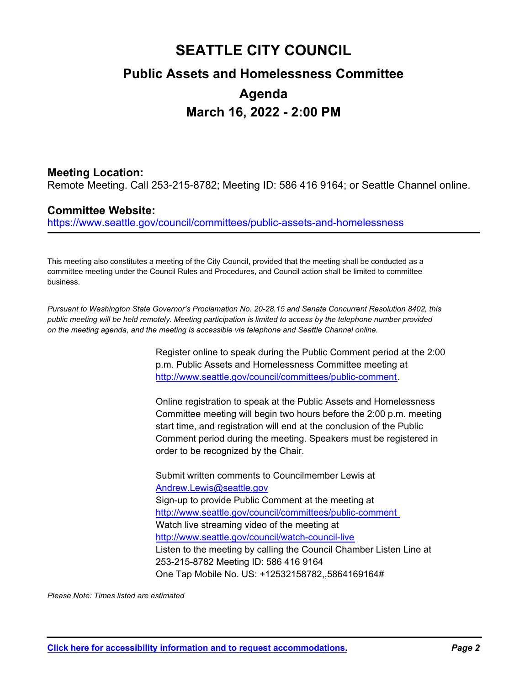## **SEATTLE CITY COUNCIL Public Assets and Homelessness Committee Agenda March 16, 2022 - 2:00 PM**

## **Meeting Location:**

Remote Meeting. Call 253-215-8782; Meeting ID: 586 416 9164; or Seattle Channel online.

## **Committee Website:**

https://www.seattle.gov/council/committees/public-assets-and-homelessness

This meeting also constitutes a meeting of the City Council, provided that the meeting shall be conducted as a committee meeting under the Council Rules and Procedures, and Council action shall be limited to committee business.

*Pursuant to Washington State Governor's Proclamation No. 20-28.15 and Senate Concurrent Resolution 8402, this public meeting will be held remotely. Meeting participation is limited to access by the telephone number provided on the meeting agenda, and the meeting is accessible via telephone and Seattle Channel online.*

> Register online to speak during the Public Comment period at the 2:00 p.m. Public Assets and Homelessness Committee meeting at http://www.seattle.gov/council/committees/public-comment.

Online registration to speak at the Public Assets and Homelessness Committee meeting will begin two hours before the 2:00 p.m. meeting start time, and registration will end at the conclusion of the Public Comment period during the meeting. Speakers must be registered in order to be recognized by the Chair.

Submit written comments to Councilmember Lewis at Andrew.Lewis@seattle.gov Sign-up to provide Public Comment at the meeting at http://www.seattle.gov/council/committees/public-comment Watch live streaming video of the meeting at http://www.seattle.gov/council/watch-council-live Listen to the meeting by calling the Council Chamber Listen Line at 253-215-8782 Meeting ID: 586 416 9164 One Tap Mobile No. US: +12532158782,,5864169164#

*Please Note: Times listed are estimated*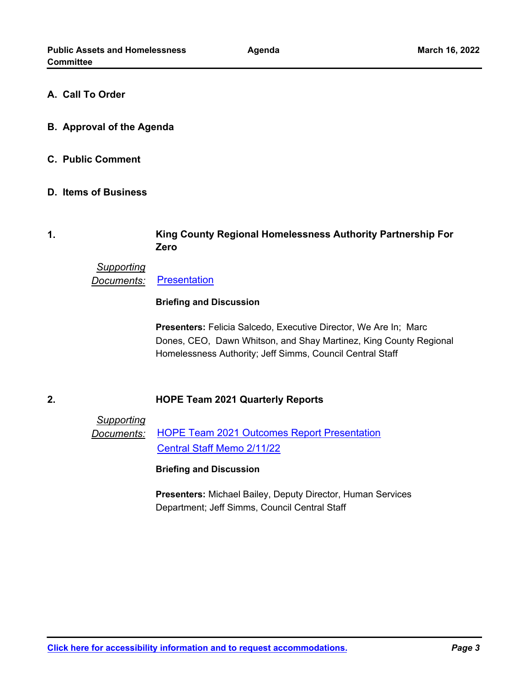### **A. Call To Order**

- **B. Approval of the Agenda**
- **C. Public Comment**
- **D. Items of Business**

#### **King County Regional Homelessness Authority Partnership For Zero 1.**

## *Supporting* **Documents:** [Presentation](http://seattle.legistar.com/gateway.aspx?M=F&ID=4034e529-2baf-433f-b8ff-d0034b98bc90.pdf)

#### **Briefing and Discussion**

**Presenters:** Felicia Salcedo, Executive Director, We Are In; Marc Dones, CEO, Dawn Whitson, and Shay Martinez, King County Regional Homelessness Authority; Jeff Simms, Council Central Staff

## **2. HOPE Team 2021 Quarterly Reports**

*Supporting Documents:* [HOPE Team 2021 Outcomes Report Presentation](http://seattle.legistar.com/gateway.aspx?M=F&ID=c0d47c29-e0de-4912-a423-2f6ec20fcf94.pdf) [Central Staff Memo 2/11/22](http://seattle.legistar.com/gateway.aspx?M=F&ID=6daf84b8-d008-4a6a-bf72-7c11f39e64d4.pdf)

#### **Briefing and Discussion**

**Presenters:** Michael Bailey, Deputy Director, Human Services Department; Jeff Simms, Council Central Staff